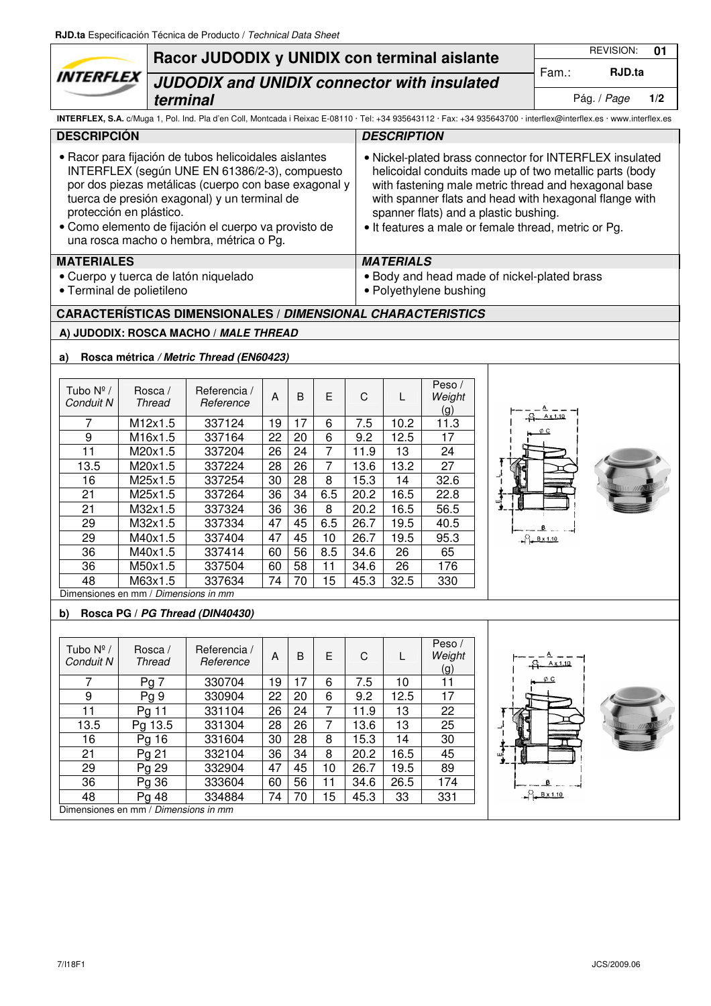| <b>REVISION:</b><br>01<br>Racor JUDODIX y UNIDIX con terminal aislante<br>RJD.ta<br>Fam.:<br><i><b>INTERFLEX</b></i><br><b>JUDODIX and UNIDIX connector with insulated</b><br>Pág. / Page<br>1/2<br>terminal<br>INTERFLEX, S.A. c/Muga 1, Pol. Ind. Pla d'en Coll, Montcada i Reixac E-08110 · Tel: +34 935643112 · Fax: +34 935643700 · interflex@interflex.es · www.interflex.es<br><b>DESCRIPCIÓN</b><br><b>DESCRIPTION</b><br>• Racor para fijación de tubos helicoidales aislantes<br>• Nickel-plated brass connector for INTERFLEX insulated<br>INTERFLEX (según UNE EN 61386/2-3), compuesto<br>helicoidal conduits made up of two metallic parts (body<br>por dos piezas metálicas (cuerpo con base exagonal y<br>with fastening male metric thread and hexagonal base<br>tuerca de presión exagonal) y un terminal de<br>with spanner flats and head with hexagonal flange with<br>protección en plástico.<br>spanner flats) and a plastic bushing.<br>· Como elemento de fijación el cuerpo va provisto de<br>• It features a male or female thread, metric or Pg.<br>una rosca macho o hembra, métrica o Pg.<br><b>MATERIALES</b><br><b>MATERIALS</b><br>· Cuerpo y tuerca de latón niquelado<br>. Body and head made of nickel-plated brass<br>• Polyethylene bushing<br>· Terminal de polietileno<br><b>CARACTERÍSTICAS DIMENSIONALES / DIMENSIONAL CHARACTERISTICS</b><br>A) JUDODIX: ROSCA MACHO / MALE THREAD<br>Rosca métrica / Metric Thread (EN60423)<br>a)<br>Peso /<br>Tubo $N^{\circ}/$<br>Rosca /<br>Referencia /<br>$\overline{A}$<br>C<br>B<br>E.<br>Weight<br>L<br>Conduit N<br>Thread<br>Reference<br>(g)<br>M12x1.5<br>337124<br>17<br>7.5<br>11.3<br>7<br>19<br>6<br>10.2<br>6<br>22<br>20<br>9<br>M16x1.5<br>9.2<br>12.5<br>17<br>337164<br>$\overline{11}$<br>$\overline{7}$<br>26<br>24<br>337204<br>13<br>24<br>M20x1.5<br>11.9<br>$\overline{7}$<br>$\overline{26}$<br>28<br>27<br>13.5<br>337224<br>13.6<br>13.2<br>M20x1.5<br>$\overline{28}$<br>30<br>8<br>14<br>32.6<br>16<br>M25x1.5<br>337254<br>15.3<br>$\overline{34}$<br>$6.\overline{5}$<br>21<br>36<br>337264<br>20.2<br>16.5<br>22.8<br>M25x1.5<br>36<br>21<br>36<br>8<br>M32x1.5<br>20.2<br>16.5<br>56.5<br>337324<br>45<br>6.5<br>29<br>47<br>M32x1.5<br>337334<br>26.7<br>19.5<br>40.5<br>45<br>29<br>337404<br>47<br>10<br>26.7<br>19.5<br>95.3<br>M40x1.5<br>$B \times 1.10$<br>$\overline{36}$<br>$\overline{56}$<br>8.5<br>26<br>60<br>34.6<br>65<br>M40x1.5<br>337414<br>58<br>60<br>M50x1.5<br>337504<br>34.6<br>36<br>176<br>11<br>26<br>48<br>M63x1.5<br>337634<br>74<br>70<br>32.5<br>330<br>15<br>45.3<br>Dimensiones en mm / Dimensions in mm<br>Rosca PG / PG Thread (DIN40430)<br>b)<br>Peso /<br>Tubo $N^{\circ}/$<br>Rosca /<br>Referencia /<br>C<br>$\overline{A}$<br>B<br>E<br>Weight<br>L<br>Conduit N<br><b>Thread</b><br>Reference<br>$A \times 1,10$<br>(g)<br>φc<br>7.5<br>7<br>Pg <sub>7</sub><br>330704<br>19<br>17<br>10<br>11<br>6<br>22<br>17<br>9<br>Pg <sub>9</sub><br>20<br>6<br>9.2<br>12.5<br>330904<br>11<br>331104<br>26<br>24<br>$\overline{7}$<br>22<br>Pg 11<br>11.9<br>13<br>13.5<br>331304<br>28<br>26<br>13.6<br>13<br>25<br>Pg 13.5<br>7<br>331604<br>30<br>28<br>15.3<br>14<br>30<br>16<br>Pg 16<br>8<br>36<br>21<br>332104<br>34<br>16.5<br>45<br>Pg 21<br>8<br>20.2<br>332904<br>47<br>45<br>26.7<br>89<br>29<br>Pg 29<br>10<br>19.5<br>36<br>333604<br>60<br>56<br>174<br>Pg 36<br>11<br>34.6<br>26.5<br>$B \times 1.10$<br>48<br>334884<br>74<br>70<br>15<br>45.3<br>33<br>331<br>Pg 48<br>Dimensiones en mm / Dimensions in mm |  |  | RJD.ta Especificación Técnica de Producto / Technical Data Sheet |  |  |  |  |  |  |  |  |  |  |  |  |
|--------------------------------------------------------------------------------------------------------------------------------------------------------------------------------------------------------------------------------------------------------------------------------------------------------------------------------------------------------------------------------------------------------------------------------------------------------------------------------------------------------------------------------------------------------------------------------------------------------------------------------------------------------------------------------------------------------------------------------------------------------------------------------------------------------------------------------------------------------------------------------------------------------------------------------------------------------------------------------------------------------------------------------------------------------------------------------------------------------------------------------------------------------------------------------------------------------------------------------------------------------------------------------------------------------------------------------------------------------------------------------------------------------------------------------------------------------------------------------------------------------------------------------------------------------------------------------------------------------------------------------------------------------------------------------------------------------------------------------------------------------------------------------------------------------------------------------------------------------------------------------------------------------------------------------------------------------------------------------------------------------------------------------------------------------------------------------------------------------------------------------------------------------------------------------------------------------------------------------------------------------------------------------------------------------------------------------------------------------------------------------------------------------------------------------------------------------------------------------------------------------------------------------------------------------------------------------------------------------------------------------------------------------------------------------------------------------------------------------------------------------------------------------------------------------------------------------------------------------------------------------------------------------------------------------------------------------------------------------------------------------------------------------------------------------------------------------------------------------------------------------------------------------------------------------------------------------------------------------------------------------------------------------------------------------------------------------------------------------------------------------------------------------------------------------------------------------------------------------------------------------------------------------------------------------------------------------|--|--|------------------------------------------------------------------|--|--|--|--|--|--|--|--|--|--|--|--|
|                                                                                                                                                                                                                                                                                                                                                                                                                                                                                                                                                                                                                                                                                                                                                                                                                                                                                                                                                                                                                                                                                                                                                                                                                                                                                                                                                                                                                                                                                                                                                                                                                                                                                                                                                                                                                                                                                                                                                                                                                                                                                                                                                                                                                                                                                                                                                                                                                                                                                                                                                                                                                                                                                                                                                                                                                                                                                                                                                                                                                                                                                                                                                                                                                                                                                                                                                                                                                                                                                                                                                                                |  |  |                                                                  |  |  |  |  |  |  |  |  |  |  |  |  |
|                                                                                                                                                                                                                                                                                                                                                                                                                                                                                                                                                                                                                                                                                                                                                                                                                                                                                                                                                                                                                                                                                                                                                                                                                                                                                                                                                                                                                                                                                                                                                                                                                                                                                                                                                                                                                                                                                                                                                                                                                                                                                                                                                                                                                                                                                                                                                                                                                                                                                                                                                                                                                                                                                                                                                                                                                                                                                                                                                                                                                                                                                                                                                                                                                                                                                                                                                                                                                                                                                                                                                                                |  |  |                                                                  |  |  |  |  |  |  |  |  |  |  |  |  |
|                                                                                                                                                                                                                                                                                                                                                                                                                                                                                                                                                                                                                                                                                                                                                                                                                                                                                                                                                                                                                                                                                                                                                                                                                                                                                                                                                                                                                                                                                                                                                                                                                                                                                                                                                                                                                                                                                                                                                                                                                                                                                                                                                                                                                                                                                                                                                                                                                                                                                                                                                                                                                                                                                                                                                                                                                                                                                                                                                                                                                                                                                                                                                                                                                                                                                                                                                                                                                                                                                                                                                                                |  |  |                                                                  |  |  |  |  |  |  |  |  |  |  |  |  |
|                                                                                                                                                                                                                                                                                                                                                                                                                                                                                                                                                                                                                                                                                                                                                                                                                                                                                                                                                                                                                                                                                                                                                                                                                                                                                                                                                                                                                                                                                                                                                                                                                                                                                                                                                                                                                                                                                                                                                                                                                                                                                                                                                                                                                                                                                                                                                                                                                                                                                                                                                                                                                                                                                                                                                                                                                                                                                                                                                                                                                                                                                                                                                                                                                                                                                                                                                                                                                                                                                                                                                                                |  |  |                                                                  |  |  |  |  |  |  |  |  |  |  |  |  |
|                                                                                                                                                                                                                                                                                                                                                                                                                                                                                                                                                                                                                                                                                                                                                                                                                                                                                                                                                                                                                                                                                                                                                                                                                                                                                                                                                                                                                                                                                                                                                                                                                                                                                                                                                                                                                                                                                                                                                                                                                                                                                                                                                                                                                                                                                                                                                                                                                                                                                                                                                                                                                                                                                                                                                                                                                                                                                                                                                                                                                                                                                                                                                                                                                                                                                                                                                                                                                                                                                                                                                                                |  |  |                                                                  |  |  |  |  |  |  |  |  |  |  |  |  |
|                                                                                                                                                                                                                                                                                                                                                                                                                                                                                                                                                                                                                                                                                                                                                                                                                                                                                                                                                                                                                                                                                                                                                                                                                                                                                                                                                                                                                                                                                                                                                                                                                                                                                                                                                                                                                                                                                                                                                                                                                                                                                                                                                                                                                                                                                                                                                                                                                                                                                                                                                                                                                                                                                                                                                                                                                                                                                                                                                                                                                                                                                                                                                                                                                                                                                                                                                                                                                                                                                                                                                                                |  |  |                                                                  |  |  |  |  |  |  |  |  |  |  |  |  |
|                                                                                                                                                                                                                                                                                                                                                                                                                                                                                                                                                                                                                                                                                                                                                                                                                                                                                                                                                                                                                                                                                                                                                                                                                                                                                                                                                                                                                                                                                                                                                                                                                                                                                                                                                                                                                                                                                                                                                                                                                                                                                                                                                                                                                                                                                                                                                                                                                                                                                                                                                                                                                                                                                                                                                                                                                                                                                                                                                                                                                                                                                                                                                                                                                                                                                                                                                                                                                                                                                                                                                                                |  |  |                                                                  |  |  |  |  |  |  |  |  |  |  |  |  |
|                                                                                                                                                                                                                                                                                                                                                                                                                                                                                                                                                                                                                                                                                                                                                                                                                                                                                                                                                                                                                                                                                                                                                                                                                                                                                                                                                                                                                                                                                                                                                                                                                                                                                                                                                                                                                                                                                                                                                                                                                                                                                                                                                                                                                                                                                                                                                                                                                                                                                                                                                                                                                                                                                                                                                                                                                                                                                                                                                                                                                                                                                                                                                                                                                                                                                                                                                                                                                                                                                                                                                                                |  |  |                                                                  |  |  |  |  |  |  |  |  |  |  |  |  |
|                                                                                                                                                                                                                                                                                                                                                                                                                                                                                                                                                                                                                                                                                                                                                                                                                                                                                                                                                                                                                                                                                                                                                                                                                                                                                                                                                                                                                                                                                                                                                                                                                                                                                                                                                                                                                                                                                                                                                                                                                                                                                                                                                                                                                                                                                                                                                                                                                                                                                                                                                                                                                                                                                                                                                                                                                                                                                                                                                                                                                                                                                                                                                                                                                                                                                                                                                                                                                                                                                                                                                                                |  |  |                                                                  |  |  |  |  |  |  |  |  |  |  |  |  |
|                                                                                                                                                                                                                                                                                                                                                                                                                                                                                                                                                                                                                                                                                                                                                                                                                                                                                                                                                                                                                                                                                                                                                                                                                                                                                                                                                                                                                                                                                                                                                                                                                                                                                                                                                                                                                                                                                                                                                                                                                                                                                                                                                                                                                                                                                                                                                                                                                                                                                                                                                                                                                                                                                                                                                                                                                                                                                                                                                                                                                                                                                                                                                                                                                                                                                                                                                                                                                                                                                                                                                                                |  |  |                                                                  |  |  |  |  |  |  |  |  |  |  |  |  |
|                                                                                                                                                                                                                                                                                                                                                                                                                                                                                                                                                                                                                                                                                                                                                                                                                                                                                                                                                                                                                                                                                                                                                                                                                                                                                                                                                                                                                                                                                                                                                                                                                                                                                                                                                                                                                                                                                                                                                                                                                                                                                                                                                                                                                                                                                                                                                                                                                                                                                                                                                                                                                                                                                                                                                                                                                                                                                                                                                                                                                                                                                                                                                                                                                                                                                                                                                                                                                                                                                                                                                                                |  |  |                                                                  |  |  |  |  |  |  |  |  |  |  |  |  |
|                                                                                                                                                                                                                                                                                                                                                                                                                                                                                                                                                                                                                                                                                                                                                                                                                                                                                                                                                                                                                                                                                                                                                                                                                                                                                                                                                                                                                                                                                                                                                                                                                                                                                                                                                                                                                                                                                                                                                                                                                                                                                                                                                                                                                                                                                                                                                                                                                                                                                                                                                                                                                                                                                                                                                                                                                                                                                                                                                                                                                                                                                                                                                                                                                                                                                                                                                                                                                                                                                                                                                                                |  |  |                                                                  |  |  |  |  |  |  |  |  |  |  |  |  |
|                                                                                                                                                                                                                                                                                                                                                                                                                                                                                                                                                                                                                                                                                                                                                                                                                                                                                                                                                                                                                                                                                                                                                                                                                                                                                                                                                                                                                                                                                                                                                                                                                                                                                                                                                                                                                                                                                                                                                                                                                                                                                                                                                                                                                                                                                                                                                                                                                                                                                                                                                                                                                                                                                                                                                                                                                                                                                                                                                                                                                                                                                                                                                                                                                                                                                                                                                                                                                                                                                                                                                                                |  |  |                                                                  |  |  |  |  |  |  |  |  |  |  |  |  |
|                                                                                                                                                                                                                                                                                                                                                                                                                                                                                                                                                                                                                                                                                                                                                                                                                                                                                                                                                                                                                                                                                                                                                                                                                                                                                                                                                                                                                                                                                                                                                                                                                                                                                                                                                                                                                                                                                                                                                                                                                                                                                                                                                                                                                                                                                                                                                                                                                                                                                                                                                                                                                                                                                                                                                                                                                                                                                                                                                                                                                                                                                                                                                                                                                                                                                                                                                                                                                                                                                                                                                                                |  |  |                                                                  |  |  |  |  |  |  |  |  |  |  |  |  |
|                                                                                                                                                                                                                                                                                                                                                                                                                                                                                                                                                                                                                                                                                                                                                                                                                                                                                                                                                                                                                                                                                                                                                                                                                                                                                                                                                                                                                                                                                                                                                                                                                                                                                                                                                                                                                                                                                                                                                                                                                                                                                                                                                                                                                                                                                                                                                                                                                                                                                                                                                                                                                                                                                                                                                                                                                                                                                                                                                                                                                                                                                                                                                                                                                                                                                                                                                                                                                                                                                                                                                                                |  |  |                                                                  |  |  |  |  |  |  |  |  |  |  |  |  |
|                                                                                                                                                                                                                                                                                                                                                                                                                                                                                                                                                                                                                                                                                                                                                                                                                                                                                                                                                                                                                                                                                                                                                                                                                                                                                                                                                                                                                                                                                                                                                                                                                                                                                                                                                                                                                                                                                                                                                                                                                                                                                                                                                                                                                                                                                                                                                                                                                                                                                                                                                                                                                                                                                                                                                                                                                                                                                                                                                                                                                                                                                                                                                                                                                                                                                                                                                                                                                                                                                                                                                                                |  |  |                                                                  |  |  |  |  |  |  |  |  |  |  |  |  |
|                                                                                                                                                                                                                                                                                                                                                                                                                                                                                                                                                                                                                                                                                                                                                                                                                                                                                                                                                                                                                                                                                                                                                                                                                                                                                                                                                                                                                                                                                                                                                                                                                                                                                                                                                                                                                                                                                                                                                                                                                                                                                                                                                                                                                                                                                                                                                                                                                                                                                                                                                                                                                                                                                                                                                                                                                                                                                                                                                                                                                                                                                                                                                                                                                                                                                                                                                                                                                                                                                                                                                                                |  |  |                                                                  |  |  |  |  |  |  |  |  |  |  |  |  |
|                                                                                                                                                                                                                                                                                                                                                                                                                                                                                                                                                                                                                                                                                                                                                                                                                                                                                                                                                                                                                                                                                                                                                                                                                                                                                                                                                                                                                                                                                                                                                                                                                                                                                                                                                                                                                                                                                                                                                                                                                                                                                                                                                                                                                                                                                                                                                                                                                                                                                                                                                                                                                                                                                                                                                                                                                                                                                                                                                                                                                                                                                                                                                                                                                                                                                                                                                                                                                                                                                                                                                                                |  |  |                                                                  |  |  |  |  |  |  |  |  |  |  |  |  |
|                                                                                                                                                                                                                                                                                                                                                                                                                                                                                                                                                                                                                                                                                                                                                                                                                                                                                                                                                                                                                                                                                                                                                                                                                                                                                                                                                                                                                                                                                                                                                                                                                                                                                                                                                                                                                                                                                                                                                                                                                                                                                                                                                                                                                                                                                                                                                                                                                                                                                                                                                                                                                                                                                                                                                                                                                                                                                                                                                                                                                                                                                                                                                                                                                                                                                                                                                                                                                                                                                                                                                                                |  |  |                                                                  |  |  |  |  |  |  |  |  |  |  |  |  |
|                                                                                                                                                                                                                                                                                                                                                                                                                                                                                                                                                                                                                                                                                                                                                                                                                                                                                                                                                                                                                                                                                                                                                                                                                                                                                                                                                                                                                                                                                                                                                                                                                                                                                                                                                                                                                                                                                                                                                                                                                                                                                                                                                                                                                                                                                                                                                                                                                                                                                                                                                                                                                                                                                                                                                                                                                                                                                                                                                                                                                                                                                                                                                                                                                                                                                                                                                                                                                                                                                                                                                                                |  |  |                                                                  |  |  |  |  |  |  |  |  |  |  |  |  |
|                                                                                                                                                                                                                                                                                                                                                                                                                                                                                                                                                                                                                                                                                                                                                                                                                                                                                                                                                                                                                                                                                                                                                                                                                                                                                                                                                                                                                                                                                                                                                                                                                                                                                                                                                                                                                                                                                                                                                                                                                                                                                                                                                                                                                                                                                                                                                                                                                                                                                                                                                                                                                                                                                                                                                                                                                                                                                                                                                                                                                                                                                                                                                                                                                                                                                                                                                                                                                                                                                                                                                                                |  |  |                                                                  |  |  |  |  |  |  |  |  |  |  |  |  |
|                                                                                                                                                                                                                                                                                                                                                                                                                                                                                                                                                                                                                                                                                                                                                                                                                                                                                                                                                                                                                                                                                                                                                                                                                                                                                                                                                                                                                                                                                                                                                                                                                                                                                                                                                                                                                                                                                                                                                                                                                                                                                                                                                                                                                                                                                                                                                                                                                                                                                                                                                                                                                                                                                                                                                                                                                                                                                                                                                                                                                                                                                                                                                                                                                                                                                                                                                                                                                                                                                                                                                                                |  |  |                                                                  |  |  |  |  |  |  |  |  |  |  |  |  |
|                                                                                                                                                                                                                                                                                                                                                                                                                                                                                                                                                                                                                                                                                                                                                                                                                                                                                                                                                                                                                                                                                                                                                                                                                                                                                                                                                                                                                                                                                                                                                                                                                                                                                                                                                                                                                                                                                                                                                                                                                                                                                                                                                                                                                                                                                                                                                                                                                                                                                                                                                                                                                                                                                                                                                                                                                                                                                                                                                                                                                                                                                                                                                                                                                                                                                                                                                                                                                                                                                                                                                                                |  |  |                                                                  |  |  |  |  |  |  |  |  |  |  |  |  |
|                                                                                                                                                                                                                                                                                                                                                                                                                                                                                                                                                                                                                                                                                                                                                                                                                                                                                                                                                                                                                                                                                                                                                                                                                                                                                                                                                                                                                                                                                                                                                                                                                                                                                                                                                                                                                                                                                                                                                                                                                                                                                                                                                                                                                                                                                                                                                                                                                                                                                                                                                                                                                                                                                                                                                                                                                                                                                                                                                                                                                                                                                                                                                                                                                                                                                                                                                                                                                                                                                                                                                                                |  |  |                                                                  |  |  |  |  |  |  |  |  |  |  |  |  |
|                                                                                                                                                                                                                                                                                                                                                                                                                                                                                                                                                                                                                                                                                                                                                                                                                                                                                                                                                                                                                                                                                                                                                                                                                                                                                                                                                                                                                                                                                                                                                                                                                                                                                                                                                                                                                                                                                                                                                                                                                                                                                                                                                                                                                                                                                                                                                                                                                                                                                                                                                                                                                                                                                                                                                                                                                                                                                                                                                                                                                                                                                                                                                                                                                                                                                                                                                                                                                                                                                                                                                                                |  |  |                                                                  |  |  |  |  |  |  |  |  |  |  |  |  |
|                                                                                                                                                                                                                                                                                                                                                                                                                                                                                                                                                                                                                                                                                                                                                                                                                                                                                                                                                                                                                                                                                                                                                                                                                                                                                                                                                                                                                                                                                                                                                                                                                                                                                                                                                                                                                                                                                                                                                                                                                                                                                                                                                                                                                                                                                                                                                                                                                                                                                                                                                                                                                                                                                                                                                                                                                                                                                                                                                                                                                                                                                                                                                                                                                                                                                                                                                                                                                                                                                                                                                                                |  |  |                                                                  |  |  |  |  |  |  |  |  |  |  |  |  |
|                                                                                                                                                                                                                                                                                                                                                                                                                                                                                                                                                                                                                                                                                                                                                                                                                                                                                                                                                                                                                                                                                                                                                                                                                                                                                                                                                                                                                                                                                                                                                                                                                                                                                                                                                                                                                                                                                                                                                                                                                                                                                                                                                                                                                                                                                                                                                                                                                                                                                                                                                                                                                                                                                                                                                                                                                                                                                                                                                                                                                                                                                                                                                                                                                                                                                                                                                                                                                                                                                                                                                                                |  |  |                                                                  |  |  |  |  |  |  |  |  |  |  |  |  |
|                                                                                                                                                                                                                                                                                                                                                                                                                                                                                                                                                                                                                                                                                                                                                                                                                                                                                                                                                                                                                                                                                                                                                                                                                                                                                                                                                                                                                                                                                                                                                                                                                                                                                                                                                                                                                                                                                                                                                                                                                                                                                                                                                                                                                                                                                                                                                                                                                                                                                                                                                                                                                                                                                                                                                                                                                                                                                                                                                                                                                                                                                                                                                                                                                                                                                                                                                                                                                                                                                                                                                                                |  |  |                                                                  |  |  |  |  |  |  |  |  |  |  |  |  |
|                                                                                                                                                                                                                                                                                                                                                                                                                                                                                                                                                                                                                                                                                                                                                                                                                                                                                                                                                                                                                                                                                                                                                                                                                                                                                                                                                                                                                                                                                                                                                                                                                                                                                                                                                                                                                                                                                                                                                                                                                                                                                                                                                                                                                                                                                                                                                                                                                                                                                                                                                                                                                                                                                                                                                                                                                                                                                                                                                                                                                                                                                                                                                                                                                                                                                                                                                                                                                                                                                                                                                                                |  |  |                                                                  |  |  |  |  |  |  |  |  |  |  |  |  |
|                                                                                                                                                                                                                                                                                                                                                                                                                                                                                                                                                                                                                                                                                                                                                                                                                                                                                                                                                                                                                                                                                                                                                                                                                                                                                                                                                                                                                                                                                                                                                                                                                                                                                                                                                                                                                                                                                                                                                                                                                                                                                                                                                                                                                                                                                                                                                                                                                                                                                                                                                                                                                                                                                                                                                                                                                                                                                                                                                                                                                                                                                                                                                                                                                                                                                                                                                                                                                                                                                                                                                                                |  |  |                                                                  |  |  |  |  |  |  |  |  |  |  |  |  |
|                                                                                                                                                                                                                                                                                                                                                                                                                                                                                                                                                                                                                                                                                                                                                                                                                                                                                                                                                                                                                                                                                                                                                                                                                                                                                                                                                                                                                                                                                                                                                                                                                                                                                                                                                                                                                                                                                                                                                                                                                                                                                                                                                                                                                                                                                                                                                                                                                                                                                                                                                                                                                                                                                                                                                                                                                                                                                                                                                                                                                                                                                                                                                                                                                                                                                                                                                                                                                                                                                                                                                                                |  |  |                                                                  |  |  |  |  |  |  |  |  |  |  |  |  |
|                                                                                                                                                                                                                                                                                                                                                                                                                                                                                                                                                                                                                                                                                                                                                                                                                                                                                                                                                                                                                                                                                                                                                                                                                                                                                                                                                                                                                                                                                                                                                                                                                                                                                                                                                                                                                                                                                                                                                                                                                                                                                                                                                                                                                                                                                                                                                                                                                                                                                                                                                                                                                                                                                                                                                                                                                                                                                                                                                                                                                                                                                                                                                                                                                                                                                                                                                                                                                                                                                                                                                                                |  |  |                                                                  |  |  |  |  |  |  |  |  |  |  |  |  |
|                                                                                                                                                                                                                                                                                                                                                                                                                                                                                                                                                                                                                                                                                                                                                                                                                                                                                                                                                                                                                                                                                                                                                                                                                                                                                                                                                                                                                                                                                                                                                                                                                                                                                                                                                                                                                                                                                                                                                                                                                                                                                                                                                                                                                                                                                                                                                                                                                                                                                                                                                                                                                                                                                                                                                                                                                                                                                                                                                                                                                                                                                                                                                                                                                                                                                                                                                                                                                                                                                                                                                                                |  |  |                                                                  |  |  |  |  |  |  |  |  |  |  |  |  |
|                                                                                                                                                                                                                                                                                                                                                                                                                                                                                                                                                                                                                                                                                                                                                                                                                                                                                                                                                                                                                                                                                                                                                                                                                                                                                                                                                                                                                                                                                                                                                                                                                                                                                                                                                                                                                                                                                                                                                                                                                                                                                                                                                                                                                                                                                                                                                                                                                                                                                                                                                                                                                                                                                                                                                                                                                                                                                                                                                                                                                                                                                                                                                                                                                                                                                                                                                                                                                                                                                                                                                                                |  |  |                                                                  |  |  |  |  |  |  |  |  |  |  |  |  |
|                                                                                                                                                                                                                                                                                                                                                                                                                                                                                                                                                                                                                                                                                                                                                                                                                                                                                                                                                                                                                                                                                                                                                                                                                                                                                                                                                                                                                                                                                                                                                                                                                                                                                                                                                                                                                                                                                                                                                                                                                                                                                                                                                                                                                                                                                                                                                                                                                                                                                                                                                                                                                                                                                                                                                                                                                                                                                                                                                                                                                                                                                                                                                                                                                                                                                                                                                                                                                                                                                                                                                                                |  |  |                                                                  |  |  |  |  |  |  |  |  |  |  |  |  |
|                                                                                                                                                                                                                                                                                                                                                                                                                                                                                                                                                                                                                                                                                                                                                                                                                                                                                                                                                                                                                                                                                                                                                                                                                                                                                                                                                                                                                                                                                                                                                                                                                                                                                                                                                                                                                                                                                                                                                                                                                                                                                                                                                                                                                                                                                                                                                                                                                                                                                                                                                                                                                                                                                                                                                                                                                                                                                                                                                                                                                                                                                                                                                                                                                                                                                                                                                                                                                                                                                                                                                                                |  |  |                                                                  |  |  |  |  |  |  |  |  |  |  |  |  |
|                                                                                                                                                                                                                                                                                                                                                                                                                                                                                                                                                                                                                                                                                                                                                                                                                                                                                                                                                                                                                                                                                                                                                                                                                                                                                                                                                                                                                                                                                                                                                                                                                                                                                                                                                                                                                                                                                                                                                                                                                                                                                                                                                                                                                                                                                                                                                                                                                                                                                                                                                                                                                                                                                                                                                                                                                                                                                                                                                                                                                                                                                                                                                                                                                                                                                                                                                                                                                                                                                                                                                                                |  |  |                                                                  |  |  |  |  |  |  |  |  |  |  |  |  |
|                                                                                                                                                                                                                                                                                                                                                                                                                                                                                                                                                                                                                                                                                                                                                                                                                                                                                                                                                                                                                                                                                                                                                                                                                                                                                                                                                                                                                                                                                                                                                                                                                                                                                                                                                                                                                                                                                                                                                                                                                                                                                                                                                                                                                                                                                                                                                                                                                                                                                                                                                                                                                                                                                                                                                                                                                                                                                                                                                                                                                                                                                                                                                                                                                                                                                                                                                                                                                                                                                                                                                                                |  |  |                                                                  |  |  |  |  |  |  |  |  |  |  |  |  |